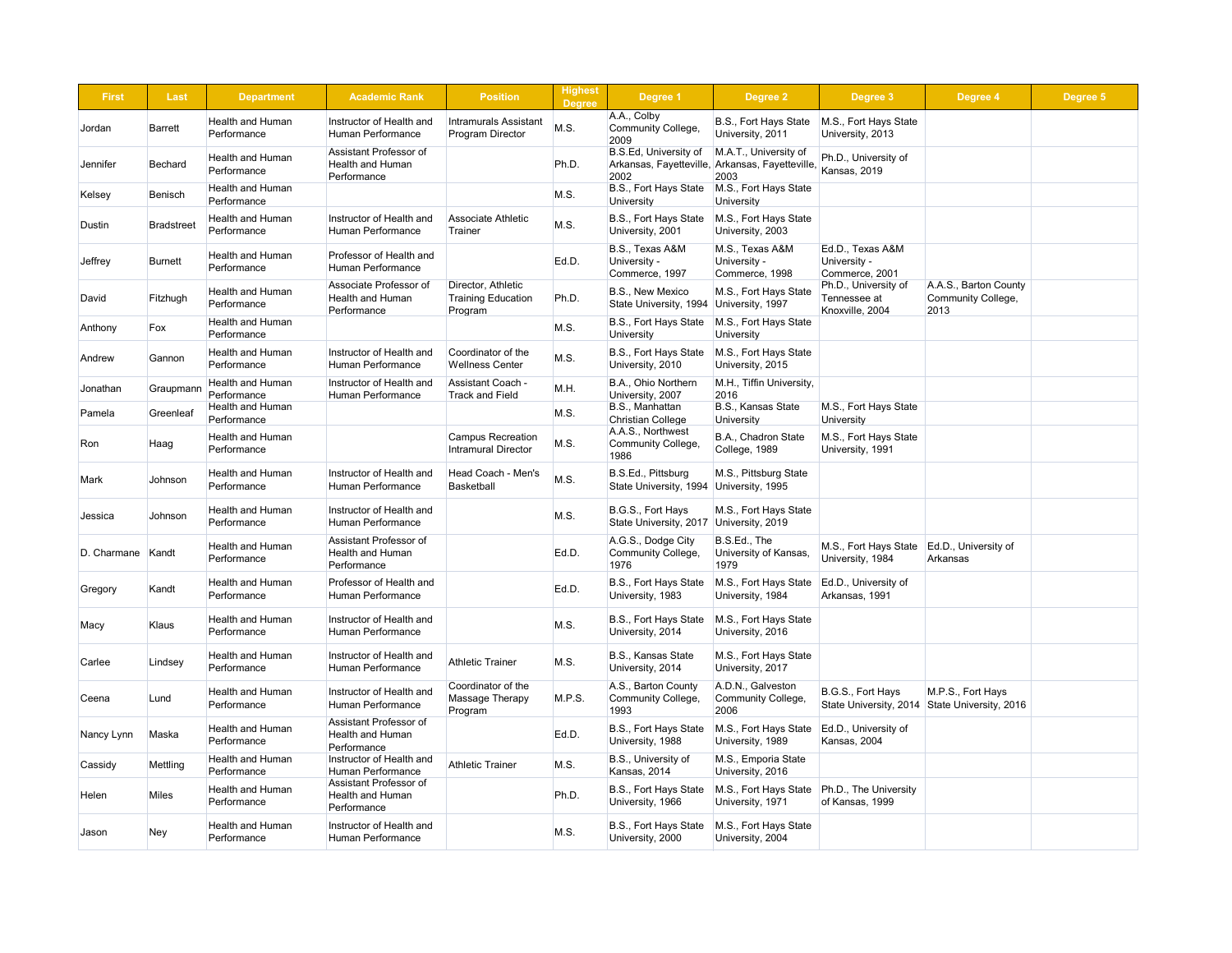| <b>First</b> | <b>Last</b>                            | <b>Department</b>                      | <b>Academic Rank</b>                                             | <b>Position</b>                                            | <b>Highest</b><br><b>Degree</b> | <b>Degree 1</b>                                               | Degree 2                                                                         | Degree 3                                                | <b>Degree 4</b>                                     | Degree 5 |
|--------------|----------------------------------------|----------------------------------------|------------------------------------------------------------------|------------------------------------------------------------|---------------------------------|---------------------------------------------------------------|----------------------------------------------------------------------------------|---------------------------------------------------------|-----------------------------------------------------|----------|
| Jordan       | <b>Barrett</b>                         | <b>Health and Human</b><br>Performance | Instructor of Health and<br>Human Performance                    | <b>Intramurals Assistant</b><br><b>Program Director</b>    | M.S.                            | A.A., Colby<br><b>Community College,</b><br>2009              | B.S., Fort Hays State<br>University, 2011                                        | M.S., Fort Hays State<br>University, 2013               |                                                     |          |
| Jennifer     | <b>Bechard</b>                         | <b>Health and Human</b><br>Performance | Assistant Professor of<br><b>Health and Human</b><br>Performance |                                                            | Ph.D.                           | <b>B.S.Ed, University of</b><br>2002                          | M.A.T., University of<br>Arkansas, Fayetteville, Arkansas, Fayetteville,<br>2003 | Ph.D., University of<br>Kansas, 2019                    |                                                     |          |
| Kelsey       | Benisch                                | <b>Health and Human</b><br>Performance |                                                                  |                                                            | M.S.                            | <b>B.S., Fort Hays State</b><br><b>University</b>             | M.S., Fort Hays State<br>University                                              |                                                         |                                                     |          |
| Dustin       | <b>Bradstreet</b>                      | <b>Health and Human</b><br>Performance | Instructor of Health and<br><b>Human Performance</b>             | <b>Associate Athletic</b><br>Trainer                       | M.S.                            | B.S., Fort Hays State<br>University, 2001                     | M.S., Fort Hays State<br>University, 2003                                        |                                                         |                                                     |          |
| Jeffrey      | <b>Burnett</b>                         | <b>Health and Human</b><br>Performance | Professor of Health and<br><b>Human Performance</b>              |                                                            | Ed.D.                           | B.S., Texas A&M<br>University -<br>Commerce, 1997             | M.S., Texas A&M<br>University -<br>Commerce, 1998                                | Ed.D., Texas A&M<br>University -<br>Commerce, 2001      |                                                     |          |
| David        | Fitzhugh                               | <b>Health and Human</b><br>Performance | Associate Professor of<br><b>Health and Human</b><br>Performance | Director, Athletic<br><b>Training Education</b><br>Program | Ph.D.                           | <b>B.S., New Mexico</b><br>State University, 1994             | M.S., Fort Hays State<br>University, 1997                                        | Ph.D., University of<br>Tennessee at<br>Knoxville, 2004 | A.A.S., Barton County<br>Community College,<br>2013 |          |
| Anthony      | Fox                                    | <b>Health and Human</b><br>Performance |                                                                  |                                                            | M.S.                            | B.S., Fort Hays State<br><b>University</b>                    | M.S., Fort Hays State<br>University                                              |                                                         |                                                     |          |
| Andrew       | Gannon                                 | <b>Health and Human</b><br>Performance | Instructor of Health and<br>Human Performance                    | Coordinator of the<br><b>Wellness Center</b>               | M.S.                            | B.S., Fort Hays State<br>University, 2010                     | M.S., Fort Hays State<br>University, 2015                                        |                                                         |                                                     |          |
| Jonathan     | Graupmann                              | <b>Health and Human</b><br>Performance | Instructor of Health and<br>Human Performance                    | <b>Assistant Coach -</b><br><b>Track and Field</b>         | M.H.                            | B.A., Ohio Northern<br>University, 2007                       | M.H., Tiffin University,<br>2016                                                 |                                                         |                                                     |          |
| Pamela       | Greenleaf                              | <b>Health and Human</b><br>Performance |                                                                  |                                                            | M.S.                            | B.S., Manhattan<br><b>Christian College</b>                   | <b>B.S., Kansas State</b><br>University                                          | M.S., Fort Hays State<br>University                     |                                                     |          |
| Ron          | ∣Haag                                  | Health and Human<br>Performance        |                                                                  | <b>Campus Recreation</b><br><b>Intramural Director</b>     | M.S.                            | A.A.S., Northwest<br><b>Community College,</b><br>1986        | B.A., Chadron State<br>College, 1989                                             | M.S., Fort Hays State<br>University, 1991               |                                                     |          |
| Mark         | Johnson                                | <b>Health and Human</b><br>Performance | Instructor of Health and<br><b>Human Performance</b>             | Head Coach - Men's<br><b>Basketball</b>                    | M.S.                            | B.S.Ed., Pittsburg<br>State University, 1994 University, 1995 | M.S., Pittsburg State                                                            |                                                         |                                                     |          |
| Jessica      | Johnson                                | <b>Health and Human</b><br>Performance | Instructor of Health and<br>Human Performance                    |                                                            | M.S.                            | B.G.S., Fort Hays<br>State University, 2017                   | M.S., Fort Hays State<br>University, 2019                                        |                                                         |                                                     |          |
| D. Charmane  | Kandt                                  | <b>Health and Human</b><br>Performance | Assistant Professor of<br><b>Health and Human</b><br>Performance |                                                            | Ed.D.                           | A.G.S., Dodge City<br><b>Community College,</b><br>1976       | B.S.Ed., The<br>University of Kansas,<br>1979                                    | M.S., Fort Hays State<br>University, 1984               | Ed.D., University of<br>Arkansas                    |          |
| Gregory      | Kandt                                  | <b>Health and Human</b><br>Performance | Professor of Health and<br><b>Human Performance</b>              |                                                            | Ed.D.                           | B.S., Fort Hays State<br>University, 1983                     | M.S., Fort Hays State<br>University, 1984                                        | Ed.D., University of<br>Arkansas, 1991                  |                                                     |          |
| Macy         | Klaus                                  | <b>Health and Human</b><br>Performance | Instructor of Health and<br><b>Human Performance</b>             |                                                            | M.S.                            | B.S., Fort Hays State<br>University, 2014                     | M.S., Fort Hays State<br>University, 2016                                        |                                                         |                                                     |          |
| Carlee       | Lindsey                                | <b>Health and Human</b><br>Performance | Instructor of Health and<br><b>Human Performance</b>             | <b>Athletic Trainer</b>                                    | M.S.                            | <b>B.S., Kansas State</b><br>University, 2014                 | M.S., Fort Hays State<br>University, 2017                                        |                                                         |                                                     |          |
| Ceena        | Lund                                   | <b>Health and Human</b><br>Performance | Instructor of Health and<br>Human Performance                    | Coordinator of the<br><b>Massage Therapy</b><br>Program    | M.P.S.                          | A.S., Barton County<br><b>Community College,</b><br>1993      | A.D.N., Galveston<br>Community College,<br>2006                                  | B.G.S., Fort Hays<br>State University, 2014             | M.P.S., Fort Hays<br>State University, 2016         |          |
| Nancy Lynn   | Maska                                  | <b>Health and Human</b><br>Performance | Assistant Professor of<br><b>Health and Human</b><br>Performance |                                                            | Ed.D.                           | B.S., Fort Hays State<br>University, 1988                     | M.S., Fort Hays State<br>University, 1989                                        | Ed.D., University of<br>Kansas, 2004                    |                                                     |          |
| Cassidy      | Mettling                               | <b>Health and Human</b><br>Performance | Instructor of Health and<br><b>Human Performance</b>             | <b>Athletic Trainer</b>                                    | M.S.                            | B.S., University of<br>Kansas, 2014                           | M.S., Emporia State<br>University, 2016                                          |                                                         |                                                     |          |
| Helen        | <b>Miles</b>                           | <b>Health and Human</b><br>Performance | Assistant Professor of<br><b>Health and Human</b><br>Performance |                                                            | Ph.D.                           | B.S., Fort Hays State<br>University, 1966                     | M.S., Fort Hays State<br>University, 1971                                        | Ph.D., The University<br>of Kansas, 1999                |                                                     |          |
| <b>Jason</b> | <b>Ney</b><br>$\overline{\phantom{a}}$ | <b>Health and Human</b><br>Performance | Instructor of Health and<br>Human Performance                    |                                                            | M.S.                            | University, 2000                                              | B.S., Fort Hays State   M.S., Fort Hays State<br>University, 2004                |                                                         |                                                     |          |